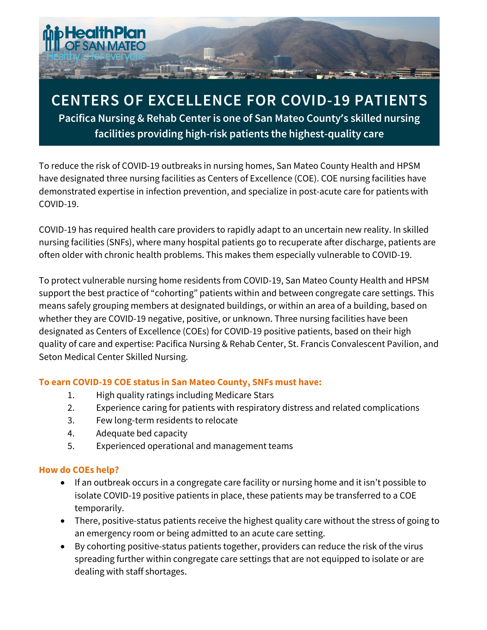

# **CENTERS OF EXCELLENCE FOR COVID-19 PATIENTS**

**Pacifica Nursing & Rehab Center is one of San Mateo County's skilled nursing facilities providing high-risk patients the highest-quality care**

To reduce the risk of COVID-19 outbreaks in nursing homes, San Mateo County Health and HPSM have designated three nursing facilities as Centers of Excellence (COE). COE nursing facilities have demonstrated expertise in infection prevention, and specialize in post-acute care for patients with COVID-19.

COVID-19 has required health care providers to rapidly adapt to an uncertain new reality. In skilled nursing facilities (SNFs), where many hospital patients go to recuperate after discharge, patients are often older with chronic health problems. This makes them especially vulnerable to COVID-19.

To protect vulnerable nursing home residents from COVID-19, San Mateo County Health and HPSM support the best practice of "cohorting" patients within and between congregate care settings. This means safely grouping members at designated buildings, or within an area of a building, based on whether they are COVID-19 negative, positive, or unknown. Three nursing facilities have been designated as Centers of Excellence (COEs) for COVID-19 positive patients, based on their high quality of care and expertise: Pacifica Nursing & Rehab Center, St. Francis Convalescent Pavilion, and Seton Medical Center Skilled Nursing.

# **To earn COVID-19 COE status in San Mateo County, SNFs must have:**

- 1. High quality ratings including Medicare Stars
- 2. Experience caring for patients with respiratory distress and related complications
- 3. Few long-term residents to relocate
- 4. Adequate bed capacity
- 5. Experienced operational and management teams

#### **How do COEs help?**

- If an outbreak occurs in a congregate care facility or nursing home and it isn't possible to isolate COVID-19 positive patients in place, these patients may be transferred to a COE temporarily.
- There, positive-status patients receive the highest quality care without the stress of going to an emergency room or being admitted to an acute care setting.
- By cohorting positive-status patients together, providers can reduce the risk of the virus spreading further within congregate care settings that are not equipped to isolate or are dealing with staff shortages.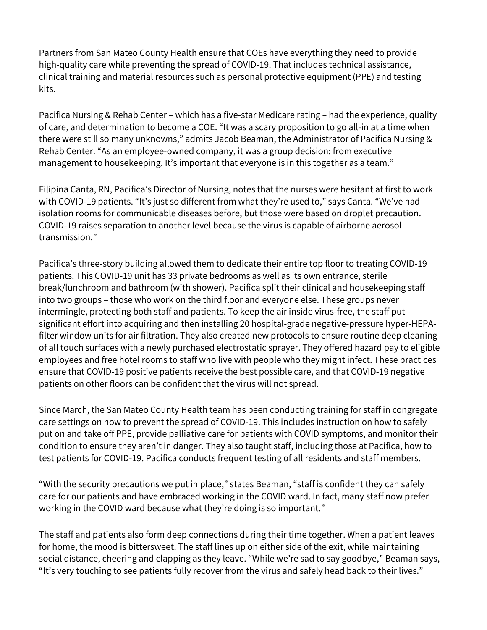Partners from San Mateo County Health ensure that COEs have everything they need to provide high-quality care while preventing the spread of COVID-19. That includes technical assistance, clinical training and material resources such as personal protective equipment (PPE) and testing kits.

Pacifica Nursing & Rehab Center – which has a five-star Medicare rating – had the experience, quality of care, and determination to become a COE. "It was a scary proposition to go all-in at a time when there were still so many unknowns," admits Jacob Beaman, the Administrator of Pacifica Nursing & Rehab Center. "As an employee-owned company, it was a group decision: from executive management to housekeeping. It's important that everyone is in this together as a team."

Filipina Canta, RN, Pacifica's Director of Nursing, notes that the nurses were hesitant at first to work with COVID-19 patients. "It's just so different from what they're used to," says Canta. "We've had isolation rooms for communicable diseases before, but those were based on droplet precaution. COVID-19 raises separation to another level because the virus is capable of airborne aerosol transmission."

Pacifica's three-story building allowed them to dedicate their entire top floor to treating COVID-19 patients. This COVID-19 unit has 33 private bedrooms as well as its own entrance, sterile break/lunchroom and bathroom (with shower). Pacifica split their clinical and housekeeping staff into two groups – those who work on the third floor and everyone else. These groups never intermingle, protecting both staff and patients. To keep the air inside virus-free, the staff put significant effort into acquiring and then installing 20 hospital-grade negative-pressure hyper-HEPAfilter window units for air filtration. They also created new protocols to ensure routine deep cleaning of all touch surfaces with a newly purchased electrostatic sprayer. They offered hazard pay to eligible employees and free hotel rooms to staff who live with people who they might infect. These practices ensure that COVID-19 positive patients receive the best possible care, and that COVID-19 negative patients on other floors can be confident that the virus will not spread.

Since March, the San Mateo County Health team has been conducting training for staff in congregate care settings on how to prevent the spread of COVID-19. This includes instruction on how to safely put on and take off PPE, provide palliative care for patients with COVID symptoms, and monitor their condition to ensure they aren't in danger. They also taught staff, including those at Pacifica, how to test patients for COVID-19. Pacifica conducts frequent testing of all residents and staff members.

"With the security precautions we put in place," states Beaman, "staff is confident they can safely care for our patients and have embraced working in the COVID ward. In fact, many staff now prefer working in the COVID ward because what they're doing is so important."

The staff and patients also form deep connections during their time together. When a patient leaves for home, the mood is bittersweet. The staff lines up on either side of the exit, while maintaining social distance, cheering and clapping as they leave. "While we're sad to say goodbye," Beaman says, "It's very touching to see patients fully recover from the virus and safely head back to their lives."